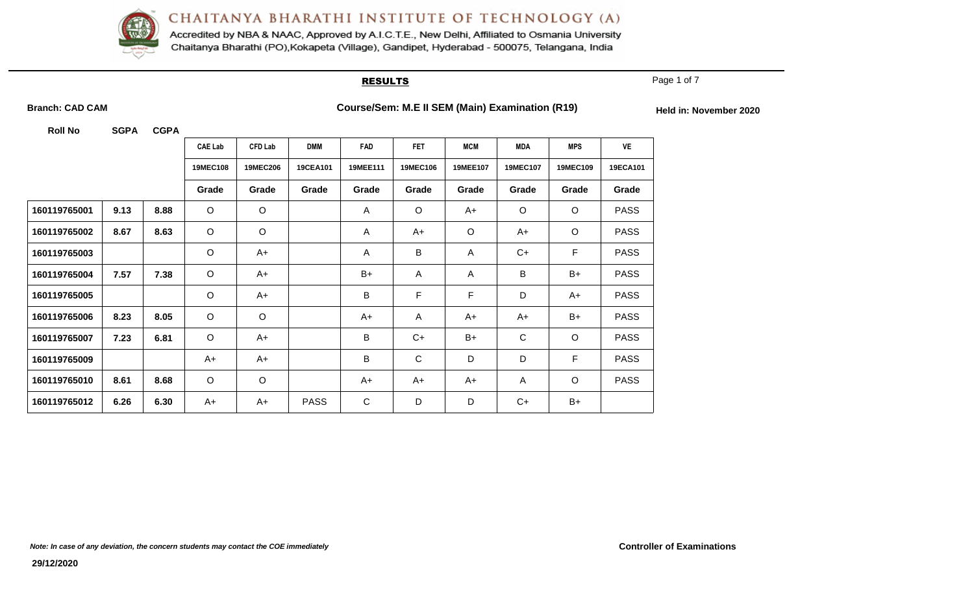

Accredited by NBA & NAAC, Approved by A.I.C.T.E., New Delhi, Affiliated to Osmania University Chaitanya Bharathi (PO), Kokapeta (Village), Gandipet, Hyderabad - 500075, Telangana, India

#### **RESULTS**

Page 1 of 7

Branch: CAD CAM **COULCAM COURSE** Course/Sem: M.E II SEM (Main) Examination (R19) **For all all in: November 2020** 

|              |      |      | <b>CAE Lab</b>  | <b>CFD Lab</b>  | <b>DMM</b>      | <b>FAD</b> | <b>FET</b>      | <b>MCM</b>  | <b>MDA</b>      | <b>MPS</b> | VE          |
|--------------|------|------|-----------------|-----------------|-----------------|------------|-----------------|-------------|-----------------|------------|-------------|
|              |      |      | <b>19MEC108</b> | <b>19MEC206</b> | <b>19CEA101</b> | 19MEE111   | <b>19MEC106</b> | 19MEE107    | <b>19MEC107</b> | 19MEC109   | 19ECA101    |
|              |      |      | Grade           | Grade           | Grade           | Grade      | Grade           | Grade       | Grade           | Grade      | Grade       |
| 160119765001 | 9.13 | 8.88 | $\circ$         | $\circ$         |                 | A          | $\circ$         | A+          | $\circ$         | $\circ$    | <b>PASS</b> |
| 160119765002 | 8.67 | 8.63 | $\circ$         | $\circ$         |                 | A          | $A+$            | $\circ$     | $A+$            | $\circ$    | <b>PASS</b> |
| 160119765003 |      |      | $\circ$         | $A+$            |                 | A          | $\sf B$         | A           | $C+$            | F          | <b>PASS</b> |
| 160119765004 | 7.57 | 7.38 | $\circ$         | $A+$            |                 | B+         | $\mathsf{A}$    | A           | B               | $B+$       | <b>PASS</b> |
| 160119765005 |      |      | $\circ$         | $A+$            |                 | B          | F               | $\mathsf F$ | D               | A+         | <b>PASS</b> |
| 160119765006 | 8.23 | 8.05 | $\circ$         | $\circ$         |                 | A+         | $\overline{A}$  | $A+$        | $A+$            | $B+$       | <b>PASS</b> |
| 160119765007 | 7.23 | 6.81 | $\circ$         | A+              |                 | B          | $C+$            | $B+$        | $\mathsf C$     | $\circ$    | <b>PASS</b> |
| 160119765009 |      |      | A+              | $A+$            |                 | B          | $\mathsf C$     | D           | D               | F          | <b>PASS</b> |
| 160119765010 | 8.61 | 8.68 | $\circ$         | $\circ$         |                 | A+         | A+              | A+          | A               | $\circ$    | <b>PASS</b> |
| 160119765012 | 6.26 | 6.30 | A+              | $A+$            | <b>PASS</b>     | C          | D               | D           | $C+$            | $B+$       |             |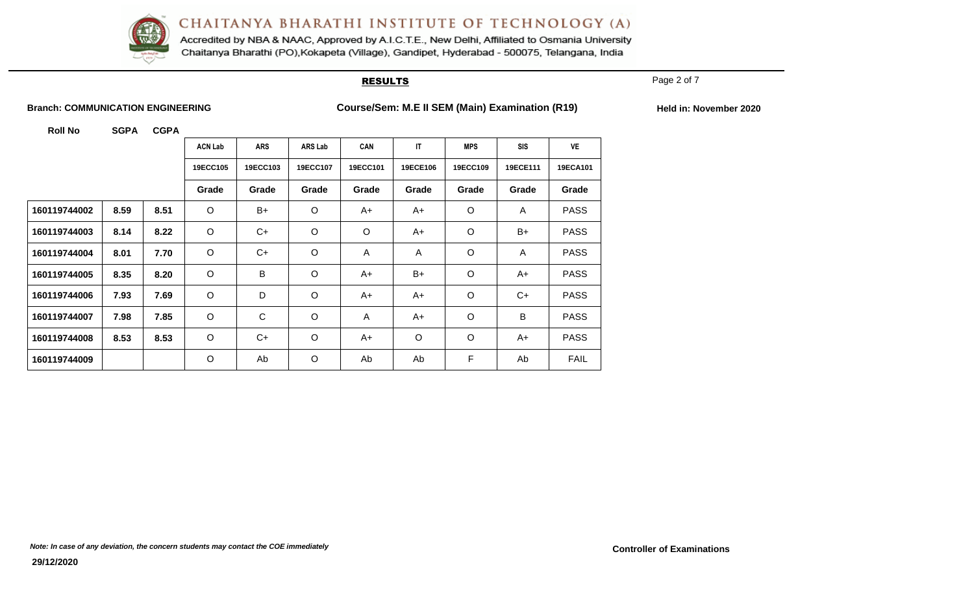

Accredited by NBA & NAAC, Approved by A.I.C.T.E., New Delhi, Affiliated to Osmania University Chaitanya Bharathi (PO), Kokapeta (Village), Gandipet, Hyderabad - 500075, Telangana, India

#### **RESULTS**

Page 2 of 7

**Branch: COMMUNICATION ENGINEERING Course/Sem: M.E II SEM (Main) Examination (R19)** Held in: November 2020

|              |      |      | <b>ACN Lab</b> | <b>ARS</b> | <b>ARS Lab</b> | CAN      | IT       | <b>MPS</b> | <b>SIS</b>     | VE          |
|--------------|------|------|----------------|------------|----------------|----------|----------|------------|----------------|-------------|
|              |      |      | 19ECC105       | 19ECC103   | 19ECC107       | 19ECC101 | 19ECE106 | 19ECC109   | 19ECE111       | 19ECA101    |
|              |      |      | Grade          | Grade      | Grade          | Grade    | Grade    | Grade      | Grade          | Grade       |
| 160119744002 | 8.59 | 8.51 | $\circ$        | B+         | $\circ$        | A+       | A+       | $\circ$    | $\overline{A}$ | <b>PASS</b> |
| 160119744003 | 8.14 | 8.22 | $\circ$        | $C+$       | $\circ$        | $\circ$  | A+       | $\circ$    | B+             | <b>PASS</b> |
| 160119744004 | 8.01 | 7.70 | $\mathsf O$    | C+         | $\circ$        | A        | A        | $\circ$    | A              | <b>PASS</b> |
| 160119744005 | 8.35 | 8.20 | $\circ$        | $\sf B$    | $\circ$        | $A+$     | $B+$     | $\circ$    | A+             | <b>PASS</b> |
| 160119744006 | 7.93 | 7.69 | $\circ$        | D          | $\circ$        | A+       | A+       | $\circ$    | C+             | <b>PASS</b> |
| 160119744007 | 7.98 | 7.85 | $\circ$        | C          | $\circ$        | A        | A+       | $\circ$    | B              | <b>PASS</b> |
| 160119744008 | 8.53 | 8.53 | $\circ$        | C+         | $\circ$        | A+       | $\circ$  | $\circ$    | A+             | <b>PASS</b> |
| 160119744009 |      |      | $\circ$        | Ab         | $\circ$        | Ab       | Ab       | F          | Ab             | <b>FAIL</b> |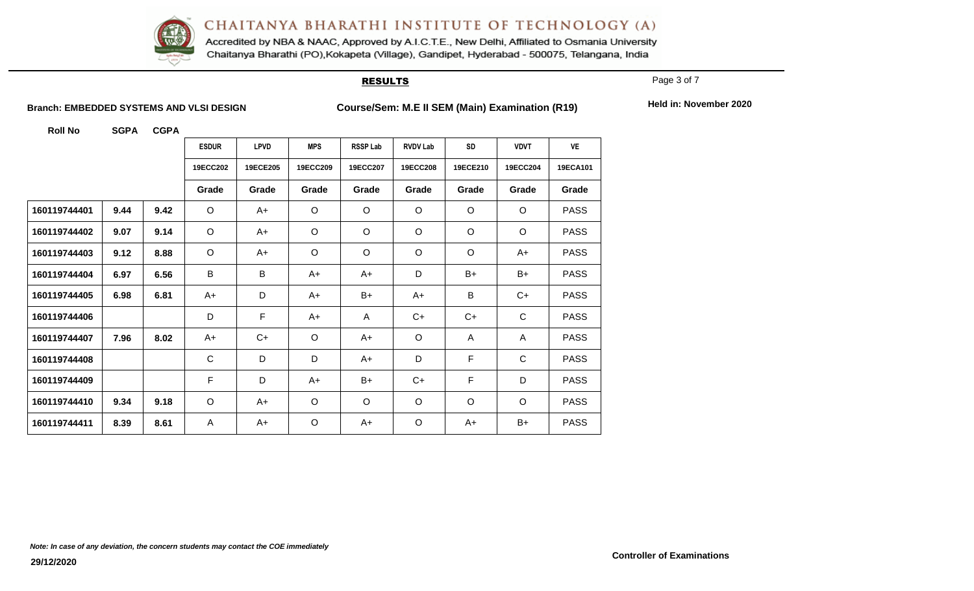

Accredited by NBA & NAAC, Approved by A.I.C.T.E., New Delhi, Affiliated to Osmania University Chaitanya Bharathi (PO), Kokapeta (Village), Gandipet, Hyderabad - 500075, Telangana, India

#### **RESULTS**

Page 3 of 7

Branch: EMBEDDED SYSTEMS AND VLSI DESIGN<br>
Course/Sem: M.E II SEM (Main) Examination (R19)

Held in: November 2020

|              |      |      | <b>ESDUR</b> | <b>LPVD</b> | <b>MPS</b> | <b>RSSP Lab</b> | <b>RVDV Lab</b> | <b>SD</b> | <b>VDVT</b>  | <b>VE</b>   |
|--------------|------|------|--------------|-------------|------------|-----------------|-----------------|-----------|--------------|-------------|
|              |      |      | 19ECC202     | 19ECE205    | 19ECC209   | 19ECC207        | 19ECC208        | 19ECE210  | 19ECC204     | 19ECA101    |
|              |      |      | Grade        | Grade       | Grade      | Grade           | Grade           | Grade     | Grade        | Grade       |
| 160119744401 | 9.44 | 9.42 | O            | A+          | $\circ$    | $\circ$         | $\circ$         | $\circ$   | $\circ$      | <b>PASS</b> |
| 160119744402 | 9.07 | 9.14 | $\circ$      | $A+$        | $\circ$    | $\circ$         | $\circ$         | $\circ$   | $\circ$      | <b>PASS</b> |
| 160119744403 | 9.12 | 8.88 | $\circ$      | $A+$        | $\circ$    | $\circ$         | $\circ$         | $\circ$   | $A+$         | <b>PASS</b> |
| 160119744404 | 6.97 | 6.56 | B            | B           | A+         | A+              | D               | $B+$      | $B+$         | <b>PASS</b> |
| 160119744405 | 6.98 | 6.81 | $A+$         | D           | A+         | B+              | $A+$            | B         | C+           | <b>PASS</b> |
| 160119744406 |      |      | D            | $\mathsf F$ | $A+$       | A               | $C+$            | $C+$      | $\mathbf C$  | <b>PASS</b> |
| 160119744407 | 7.96 | 8.02 | A+           | $C+$        | $\circ$    | A+              | $\circ$         | A         | $\mathsf{A}$ | <b>PASS</b> |
| 160119744408 |      |      | $\mathsf{C}$ | D           | D          | $A+$            | D               | F         | $\mathsf{C}$ | <b>PASS</b> |
| 160119744409 |      |      | F            | D           | $A+$       | B+              | C+              | F         | D            | <b>PASS</b> |
| 160119744410 | 9.34 | 9.18 | $\circ$      | A+          | $\circ$    | $\circ$         | $\circ$         | $\circ$   | $\circ$      | <b>PASS</b> |
| 160119744411 | 8.39 | 8.61 | A            | A+          | $\circ$    | A+              | $\circ$         | $A+$      | B+           | <b>PASS</b> |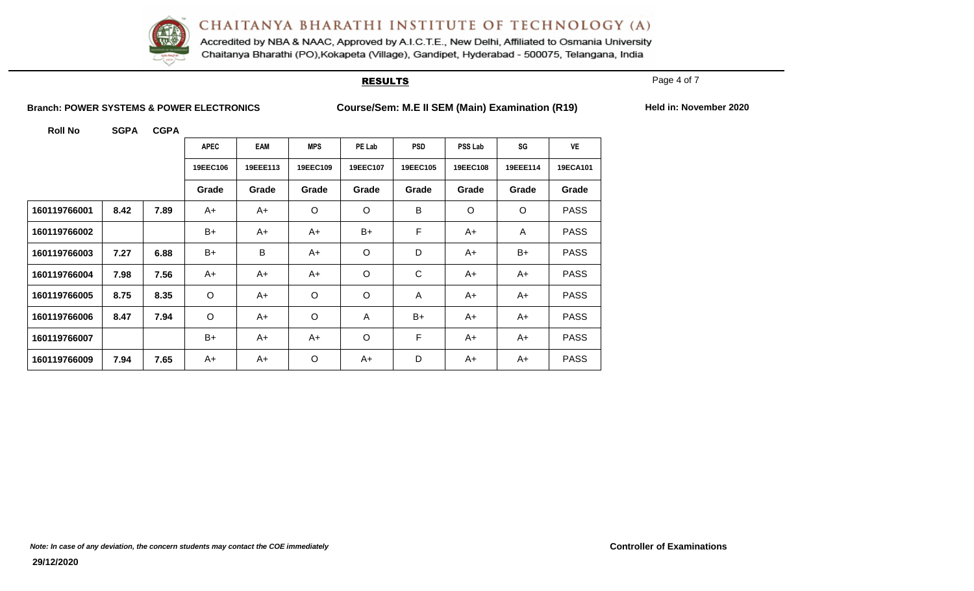

Accredited by NBA & NAAC, Approved by A.I.C.T.E., New Delhi, Affiliated to Osmania University Chaitanya Bharathi (PO), Kokapeta (Village), Gandipet, Hyderabad - 500075, Telangana, India

#### **RESULTS**

Page 4 of 7

**Branch: POWER SYSTEMS & POWER ELECTRONICS Course/Sem: M.E II SEM (Main) Examination (R19) Held in: November 2020**

|              |      |      | <b>APEC</b> | EAM      | <b>MPS</b> | PE Lab   | <b>PSD</b>   | <b>PSS Lab</b> | SG             | <b>VE</b>   |
|--------------|------|------|-------------|----------|------------|----------|--------------|----------------|----------------|-------------|
|              |      |      | 19EEC106    | 19EEE113 | 19EEC109   | 19EEC107 | 19EEC105     | 19EEC108       | 19EEE114       | 19ECA101    |
|              |      |      | Grade       | Grade    | Grade      | Grade    | Grade        | Grade          | Grade          | Grade       |
| 160119766001 | 8.42 | 7.89 | $A+$        | A+       | O          | $\circ$  | B            | $\circ$        | $\circ$        | <b>PASS</b> |
| 160119766002 |      |      | $B+$        | A+       | A+         | B+       | F            | A+             | $\overline{A}$ | <b>PASS</b> |
| 160119766003 | 7.27 | 6.88 | $B+$        | B        | A+         | O        | D            | A+             | $B+$           | <b>PASS</b> |
| 160119766004 | 7.98 | 7.56 | $A+$        | A+       | A+         | $\circ$  | $\mathsf{C}$ | A+             | A+             | <b>PASS</b> |
| 160119766005 | 8.75 | 8.35 | $\circ$     | A+       | $\circ$    | $\circ$  | A            | A+             | A+             | <b>PASS</b> |
| 160119766006 | 8.47 | 7.94 | $\circ$     | A+       | O          | A        | $B+$         | A+             | A+             | <b>PASS</b> |
| 160119766007 |      |      | $B+$        | A+       | A+         | $\circ$  | F            | A+             | A+             | <b>PASS</b> |
| 160119766009 | 7.94 | 7.65 | A+          | A+       | $\circ$    | A+       | D            | A+             | A+             | <b>PASS</b> |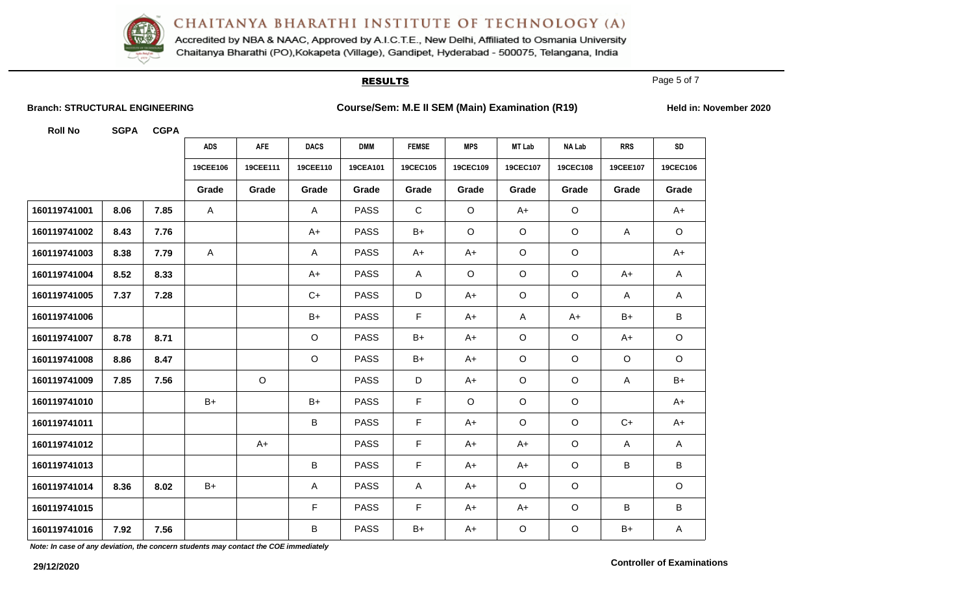

Accredited by NBA & NAAC, Approved by A.I.C.T.E., New Delhi, Affiliated to Osmania University Chaitanya Bharathi (PO), Kokapeta (Village), Gandipet, Hyderabad - 500075, Telangana, India

#### **RESULTS**

Page 5 of 7

**Branch: STRUCTURAL ENGINEERING Course/Sem: M.E II SEM (Main) Examination (R19)** Held in: November 2020

**Roll No SGPA CGPA**

|              |      |      | <b>ADS</b>   | AFE      | <b>DACS</b>             | <b>DMM</b>  | <b>FEMSE</b> | <b>MPS</b> | <b>MT Lab</b> | <b>NA Lab</b> | <b>RRS</b>   | ${\sf SD}$   |
|--------------|------|------|--------------|----------|-------------------------|-------------|--------------|------------|---------------|---------------|--------------|--------------|
|              |      |      | 19CEE106     | 19CEE111 | 19CEE110                | 19CEA101    | 19CEC105     | 19CEC109   | 19CEC107      | 19CEC108      | 19CEE107     | 19CEC106     |
|              |      |      | Grade        | Grade    | Grade                   | Grade       | Grade        | Grade      | Grade         | Grade         | Grade        | Grade        |
| 160119741001 | 8.06 | 7.85 | A            |          | $\mathsf{A}$            | <b>PASS</b> | $\mathsf C$  | $\circ$    | A+            | $\circ$       |              | $A+$         |
| 160119741002 | 8.43 | 7.76 |              |          | $A+$                    | <b>PASS</b> | $B+$         | $\circ$    | $\circ$       | $\circ$       | $\mathsf{A}$ | $\mathsf O$  |
| 160119741003 | 8.38 | 7.79 | $\mathsf{A}$ |          | $\mathsf{A}$            | <b>PASS</b> | A+           | A+         | $\circ$       | $\circ$       |              | $A+$         |
| 160119741004 | 8.52 | 8.33 |              |          | $A+$                    | <b>PASS</b> | $\mathsf{A}$ | $\circ$    | $\circ$       | $\circ$       | $A+$         | A            |
| 160119741005 | 7.37 | 7.28 |              |          | $C+$                    | <b>PASS</b> | D            | $A+$       | $\circ$       | $\circ$       | $\mathsf{A}$ | A            |
| 160119741006 |      |      |              |          | $B+$                    | <b>PASS</b> | F.           | $A+$       | A             | $A+$          | $B+$         | B            |
| 160119741007 | 8.78 | 8.71 |              |          | $\circ$                 | <b>PASS</b> | $B+$         | $A+$       | $\circ$       | $\mathsf O$   | $A+$         | $\mathsf O$  |
| 160119741008 | 8.86 | 8.47 |              |          | $\circ$                 | <b>PASS</b> | $B+$         | $A+$       | $\circ$       | $\circ$       | $\circ$      | $\circ$      |
| 160119741009 | 7.85 | 7.56 |              | $\circ$  |                         | <b>PASS</b> | D            | $A+$       | $\circ$       | $\mathsf O$   | A            | $B+$         |
| 160119741010 |      |      | $B+$         |          | $B+$                    | <b>PASS</b> | F.           | $\circ$    | $\circ$       | $\mathsf O$   |              | $A+$         |
| 160119741011 |      |      |              |          | B                       | <b>PASS</b> | F.           | $A+$       | $\circ$       | $\circ$       | $C+$         | $A+$         |
| 160119741012 |      |      |              | $A+$     |                         | <b>PASS</b> | F.           | $A+$       | $A+$          | $\circ$       | $\mathsf{A}$ | $\mathsf{A}$ |
| 160119741013 |      |      |              |          | $\sf B$                 | <b>PASS</b> | F            | $A+$       | $A+$          | $\circ$       | B            | $\sf B$      |
| 160119741014 | 8.36 | 8.02 | $B+$         |          | $\overline{\mathsf{A}}$ | <b>PASS</b> | $\mathsf{A}$ | $A+$       | $\circ$       | $\mathsf O$   |              | $\mathsf O$  |
| 160119741015 |      |      |              |          | F                       | <b>PASS</b> | F            | $A+$       | $A+$          | $\mathsf O$   | B            | $\sf B$      |
| 160119741016 | 7.92 | 7.56 |              |          | B                       | <b>PASS</b> | $B+$         | $A+$       | $\circ$       | $\mathsf O$   | $B+$         | A            |

*Note: In case of any deviation, the concern students may contact the COE immediately*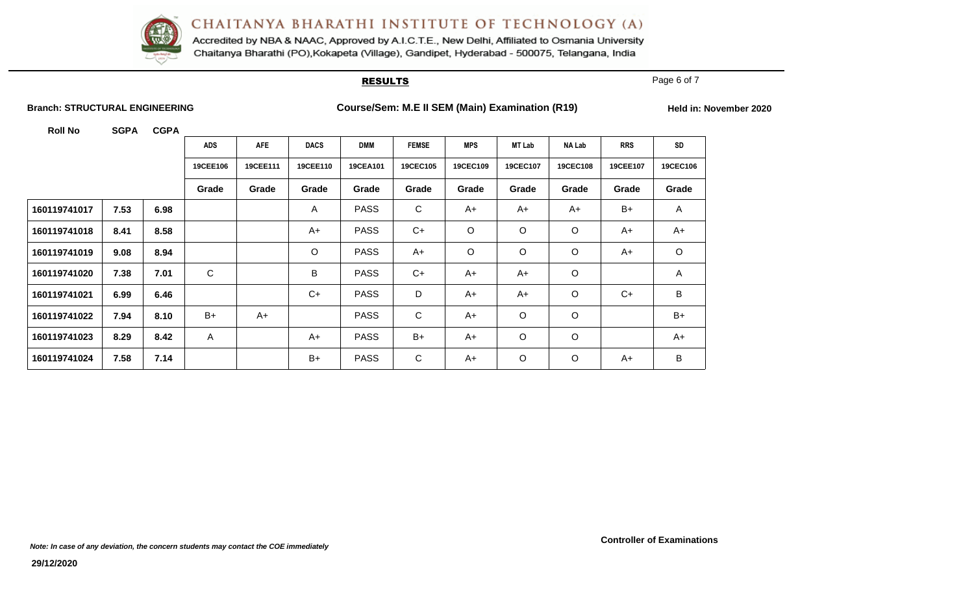

Accredited by NBA & NAAC, Approved by A.I.C.T.E., New Delhi, Affiliated to Osmania University Chaitanya Bharathi (PO), Kokapeta (Village), Gandipet, Hyderabad - 500075, Telangana, India

#### **RESULTS**

Page 6 of 7

**Branch: STRUCTURAL ENGINEERING Course/Sem: M.E II SEM (Main) Examination (R19)** Held in: November 2020

|              |      |      | <b>ADS</b> | AFE      | <b>DACS</b>  | <b>DMM</b>  | <b>FEMSE</b> | <b>MPS</b> | <b>MT Lab</b> | <b>NA Lab</b> | <b>RRS</b> | SD           |
|--------------|------|------|------------|----------|--------------|-------------|--------------|------------|---------------|---------------|------------|--------------|
|              |      |      | 19CEE106   | 19CEE111 | 19CEE110     | 19CEA101    | 19CEC105     | 19CEC109   | 19CEC107      | 19CEC108      | 19CEE107   | 19CEC106     |
|              |      |      | Grade      | Grade    | Grade        | Grade       | Grade        | Grade      | Grade         | Grade         | Grade      | Grade        |
| 160119741017 | 7.53 | 6.98 |            |          | $\mathsf{A}$ | <b>PASS</b> | $\mathsf{C}$ | $A+$       | A+            | $A+$          | B+         | $\mathsf{A}$ |
| 160119741018 | 8.41 | 8.58 |            |          | $A+$         | <b>PASS</b> | $C+$         | $\circ$    | $\circ$       | O             | $A+$       | $A+$         |
| 160119741019 | 9.08 | 8.94 |            |          | $\circ$      | <b>PASS</b> | $A+$         | $\circ$    | $\circ$       | $\circ$       | A+         | $\circ$      |
| 160119741020 | 7.38 | 7.01 | C          |          | B            | <b>PASS</b> | $C+$         | $A+$       | A+            | $\mathsf O$   |            | A            |
| 160119741021 | 6.99 | 6.46 |            |          | $C+$         | <b>PASS</b> | D            | $A+$       | A+            | $\circ$       | $C+$       | B            |
| 160119741022 | 7.94 | 8.10 | B+         | $A+$     |              | <b>PASS</b> | $\mathsf{C}$ | $A+$       | $\circ$       | $\circ$       |            | $B+$         |
| 160119741023 | 8.29 | 8.42 | A          |          | $A+$         | <b>PASS</b> | $B+$         | $A+$       | $\circ$       | O             |            | $A+$         |
| 160119741024 | 7.58 | 7.14 |            |          | $B+$         | <b>PASS</b> | C            | $A+$       | $\circ$       | O             | A+         | B            |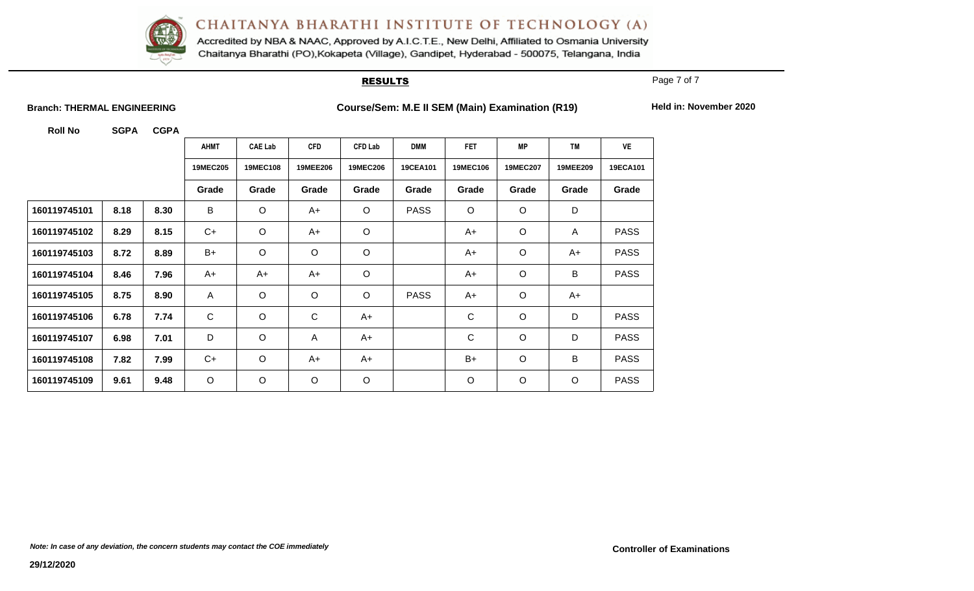

Accredited by NBA & NAAC, Approved by A.I.C.T.E., New Delhi, Affiliated to Osmania University Chaitanya Bharathi (PO), Kokapeta (Village), Gandipet, Hyderabad - 500075, Telangana, India

#### **RESULTS**

Page 7 of 7

**Branch: THERMAL ENGINEERING Course/Sem: M.E II SEM (Main) Examination (R19)** Held in: November 2020

|              |      |      | <b>AHMT</b>  | <b>CAE Lab</b>  | <b>CFD</b>      | <b>CFD Lab</b>  | <b>DMM</b>  | <b>FET</b>      | <b>MP</b>       | <b>TM</b>    | <b>VE</b>   |
|--------------|------|------|--------------|-----------------|-----------------|-----------------|-------------|-----------------|-----------------|--------------|-------------|
|              |      |      | 19MEC205     | <b>19MEC108</b> | <b>19MEE206</b> | <b>19MEC206</b> | 19CEA101    | <b>19MEC106</b> | <b>19MEC207</b> | 19MEE209     | 19ECA101    |
|              |      |      | Grade        | Grade           | Grade           | Grade           | Grade       | Grade           | Grade           | Grade        | Grade       |
| 160119745101 | 8.18 | 8.30 | B            | $\circ$         | $A+$            | $\circ$         | <b>PASS</b> | $\circ$         | $\circ$         | D            |             |
| 160119745102 | 8.29 | 8.15 | $C+$         | $\circ$         | A+              | $\circ$         |             | A+              | $\circ$         | $\mathsf{A}$ | <b>PASS</b> |
| 160119745103 | 8.72 | 8.89 | $B+$         | $\circ$         | $\circ$         | $\mathsf O$     |             | A+              | $\circ$         | A+           | <b>PASS</b> |
| 160119745104 | 8.46 | 7.96 | A+           | $A+$            | A+              | $\circ$         |             | A+              | $\circ$         | B            | <b>PASS</b> |
| 160119745105 | 8.75 | 8.90 | $\mathsf{A}$ | $\circ$         | $\circ$         | $\circ$         | <b>PASS</b> | $A+$            | $\circ$         | $A+$         |             |
| 160119745106 | 6.78 | 7.74 | $\mathsf C$  | $\circ$         | $\mathbf C$     | $A+$            |             | $\mathsf C$     | $\circ$         | D            | <b>PASS</b> |
| 160119745107 | 6.98 | 7.01 | D            | $\circ$         | A               | $A+$            |             | $\mathsf C$     | $\circ$         | D            | <b>PASS</b> |
| 160119745108 | 7.82 | 7.99 | $C+$         | $\circ$         | $A+$            | $A+$            |             | $B+$            | $\circ$         | B            | <b>PASS</b> |
| 160119745109 | 9.61 | 9.48 | $\circ$      | $\circ$         | $\circ$         | $\circ$         |             | $\circ$         | $\circ$         | $\circ$      | <b>PASS</b> |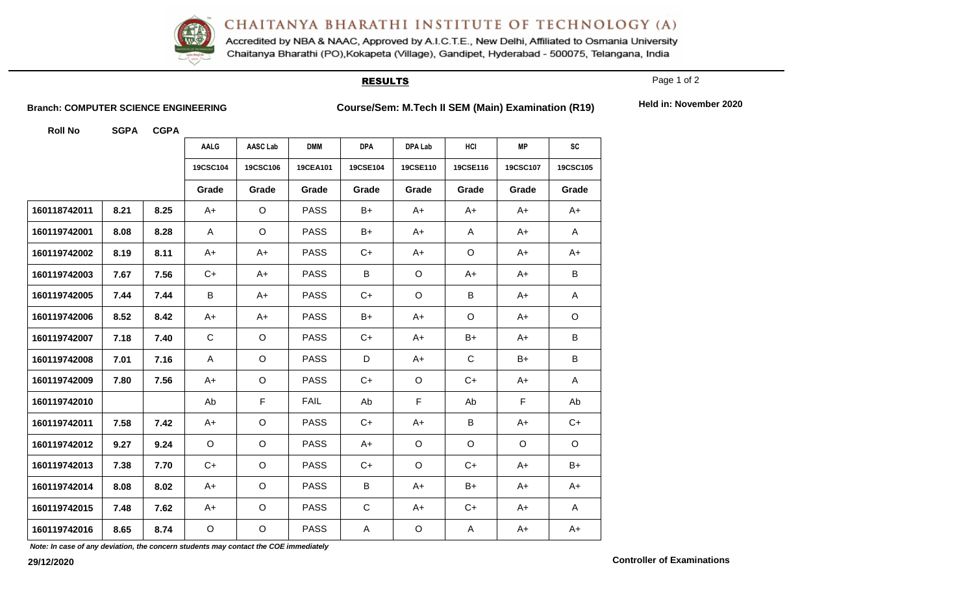

Accredited by NBA & NAAC, Approved by A.I.C.T.E., New Delhi, Affiliated to Osmania University Chaitanya Bharathi (PO), Kokapeta (Village), Gandipet, Hyderabad - 500075, Telangana, India

#### **RESULTS**

Page 1 of 2

**Branch: COMPUTER SCIENCE ENGINEERING Course/Sem: M.Tech II SEM (Main) Examination (R19)** Held in: November 2020

**Roll No SGPA CGPA**

|              |      |      | <b>AALG</b>  | AASC Lab    | <b>DMM</b>  | <b>DPA</b>  | <b>DPA Lab</b> | HCI         | <b>MP</b>   | <b>SC</b> |
|--------------|------|------|--------------|-------------|-------------|-------------|----------------|-------------|-------------|-----------|
|              |      |      | 19CSC104     | 19CSC106    | 19CEA101    | 19CSE104    | 19CSE110       | 19CSE116    | 19CSC107    | 19CSC105  |
|              |      |      | Grade        | Grade       | Grade       | Grade       | Grade          | Grade       | Grade       | Grade     |
| 160118742011 | 8.21 | 8.25 | A+           | $\circ$     | <b>PASS</b> | B+          | A+             | A+          | A+          | A+        |
| 160119742001 | 8.08 | 8.28 | $\mathsf{A}$ | $\circ$     | <b>PASS</b> | B+          | A+             | A           | A+          | A         |
| 160119742002 | 8.19 | 8.11 | A+           | $A+$        | <b>PASS</b> | $C+$        | $A+$           | $\circ$     | A+          | A+        |
| 160119742003 | 7.67 | 7.56 | $C+$         | A+          | <b>PASS</b> | B           | O              | A+          | A+          | B         |
| 160119742005 | 7.44 | 7.44 | B            | A+          | <b>PASS</b> | $C+$        | $\circ$        | B           | A+          | A         |
| 160119742006 | 8.52 | 8.42 | A+           | A+          | <b>PASS</b> | $B+$        | A+             | O           | A+          | $\circ$   |
| 160119742007 | 7.18 | 7.40 | $\mathsf C$  | $\circ$     | <b>PASS</b> | $C+$        | A+             | B+          | A+          | B         |
| 160119742008 | 7.01 | 7.16 | A            | $\circ$     | <b>PASS</b> | D           | A+             | $\mathsf C$ | B+          | B         |
| 160119742009 | 7.80 | 7.56 | A+           | $\circ$     | <b>PASS</b> | $C+$        | $\circ$        | $C+$        | A+          | A         |
| 160119742010 |      |      | Ab           | $\mathsf F$ | <b>FAIL</b> | Ab          | $\mathsf F$    | Ab          | $\mathsf F$ | Ab        |
| 160119742011 | 7.58 | 7.42 | A+           | $\mathsf O$ | <b>PASS</b> | $C+$        | $A+$           | B           | $A+$        | $C+$      |
| 160119742012 | 9.27 | 9.24 | $\circ$      | $\circ$     | <b>PASS</b> | A+          | $\circ$        | $\circ$     | O           | $\circ$   |
| 160119742013 | 7.38 | 7.70 | $C+$         | $\circ$     | <b>PASS</b> | $C+$        | $\circ$        | $C+$        | A+          | B+        |
| 160119742014 | 8.08 | 8.02 | $A+$         | $\circ$     | <b>PASS</b> | B           | $A+$           | $B+$        | A+          | $A+$      |
| 160119742015 | 7.48 | 7.62 | A+           | $\circ$     | <b>PASS</b> | $\mathsf C$ | $A+$           | $C+$        | A+          | A         |
| 160119742016 | 8.65 | 8.74 | $\mathsf O$  | $\mathsf O$ | <b>PASS</b> | A           | $\circ$        | A           | $A+$        | $A+$      |

*Note: In case of any deviation, the concern students may contact the COE immediately*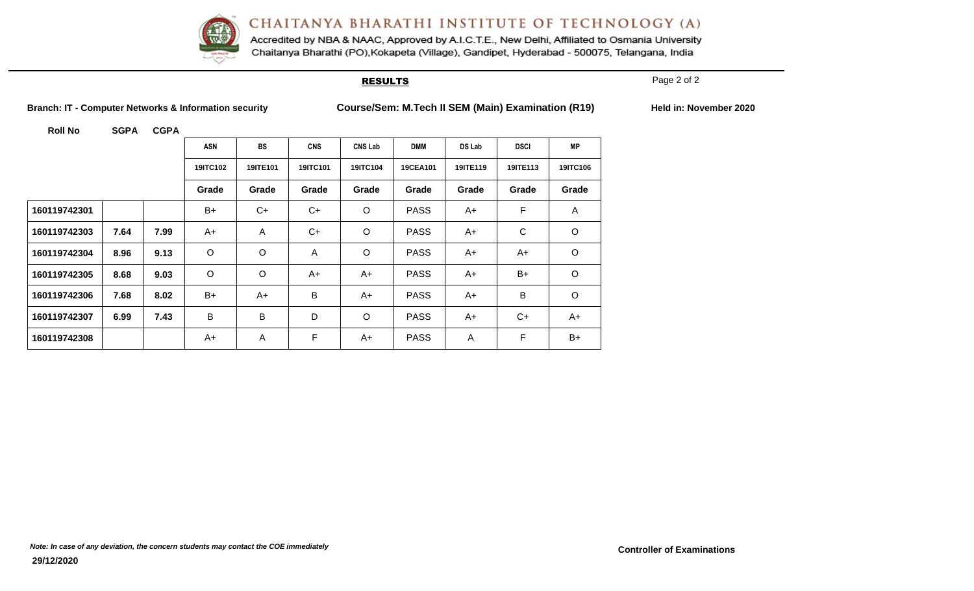

Accredited by NBA & NAAC, Approved by A.I.C.T.E., New Delhi, Affiliated to Osmania University Chaitanya Bharathi (PO), Kokapeta (Village), Gandipet, Hyderabad - 500075, Telangana, India

#### **RESULTS**

Page 2 of 2

**Branch: IT - Computer Networks & Information security Course/Sem: M.Tech II SEM (Main) Examination (R19) Held in: November 2020**

|              |      |      | <b>ASN</b> | <b>BS</b>      | <b>CNS</b> | <b>CNS Lab</b> | <b>DMM</b>  | DS Lab   | <b>DSCI</b> | <b>MP</b> |
|--------------|------|------|------------|----------------|------------|----------------|-------------|----------|-------------|-----------|
|              |      |      | 19ITC102   | 19ITE101       | 19ITC101   | 19ITC104       | 19CEA101    | 19ITE119 | 19ITE113    | 19ITC106  |
|              |      |      | Grade      | Grade          | Grade      | Grade          | Grade       | Grade    | Grade       | Grade     |
| 160119742301 |      |      | $B+$       | $C+$           | C+         | $\circ$        | <b>PASS</b> | A+       | F           | A         |
| 160119742303 | 7.64 | 7.99 | A+         | $\overline{A}$ | C+         | $\circ$        | <b>PASS</b> | A+       | C           | $\circ$   |
| 160119742304 | 8.96 | 9.13 | $\circ$    | O              | A          | $\circ$        | <b>PASS</b> | A+       | A+          | $\circ$   |
| 160119742305 | 8.68 | 9.03 | $\circ$    | O              | A+         | A+             | <b>PASS</b> | A+       | $B+$        | $\circ$   |
| 160119742306 | 7.68 | 8.02 | B+         | A+             | B          | A+             | <b>PASS</b> | A+       | B           | $\circ$   |
| 160119742307 | 6.99 | 7.43 | B          | B              | D          | $\circ$        | <b>PASS</b> | A+       | $C+$        | $A+$      |
| 160119742308 |      |      | A+         | A              | F          | A+             | <b>PASS</b> | A        | F           | $B+$      |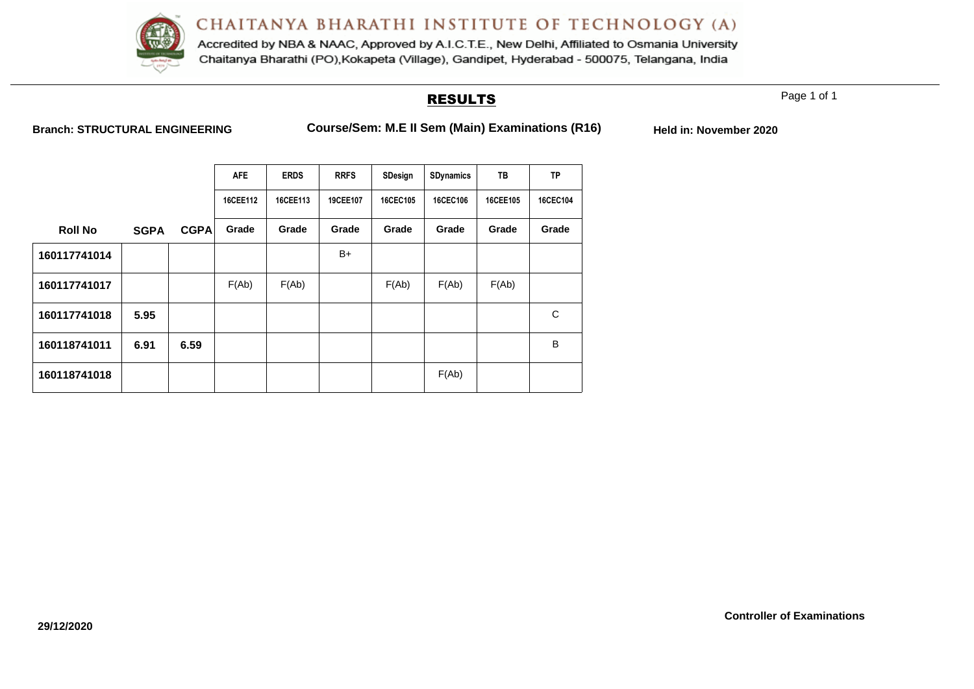

Accredited by NBA & NAAC, Approved by A.I.C.T.E., New Delhi, Affiliated to Osmania University Chaitanya Bharathi (PO), Kokapeta (Village), Gandipet, Hyderabad - 500075, Telangana, India

### RESULTS

Page 1 of 1

| <b>Branch: STRUCTURAL ENGINEERING</b> |  |  |
|---------------------------------------|--|--|
|---------------------------------------|--|--|

**Branch: Stranger Engineerings Course/Sem: M.E II Sem (Main) Examinations (R16)** Held in: November 2020

|                |             |             | <b>AFE</b> | <b>ERDS</b> | <b>RRFS</b> | SDesign  | SDynamics | TB       | <b>TP</b> |
|----------------|-------------|-------------|------------|-------------|-------------|----------|-----------|----------|-----------|
|                |             |             | 16CEE112   | 16CEE113    | 19CEE107    | 16CEC105 | 16CEC106  | 16CEE105 | 16CEC104  |
| <b>Roll No</b> | <b>SGPA</b> | <b>CGPA</b> | Grade      | Grade       | Grade       | Grade    | Grade     | Grade    | Grade     |
| 160117741014   |             |             |            |             | B+          |          |           |          |           |
| 160117741017   |             |             | F(Ab)      | F(Ab)       |             | F(Ab)    | F(Ab)     | F(Ab)    |           |
| 160117741018   | 5.95        |             |            |             |             |          |           |          | C         |
| 160118741011   | 6.91        | 6.59        |            |             |             |          |           |          | B         |
| 160118741018   |             |             |            |             |             |          | F(Ab)     |          |           |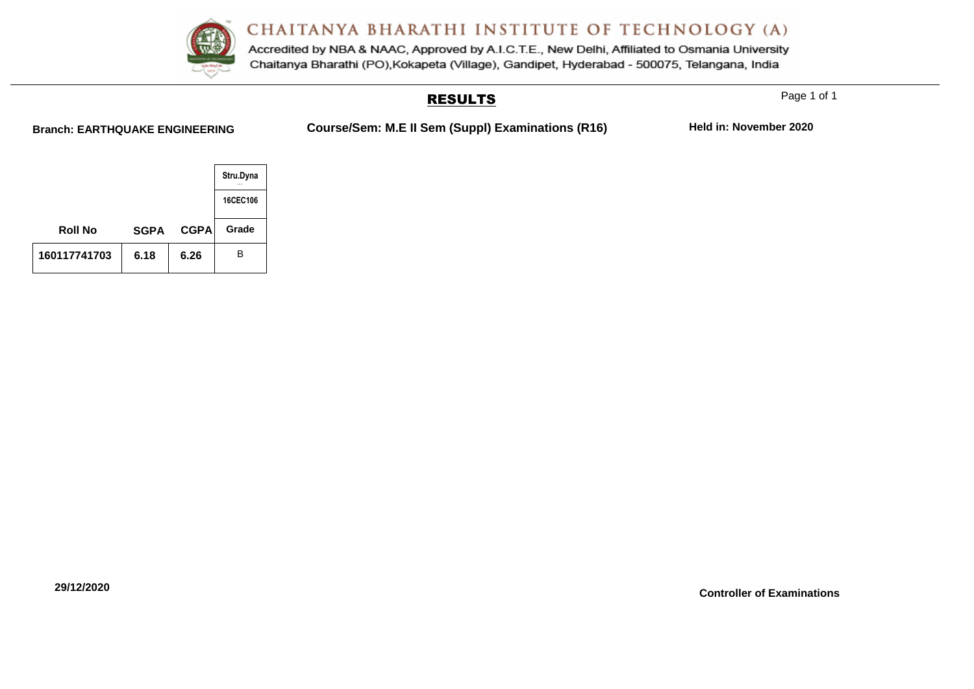Accredited by NBA & NAAC, Approved by A.I.C.T.E., New Delhi, Affiliated to Osmania University Chaitanya Bharathi (PO), Kokapeta (Village), Gandipet, Hyderabad - 500075, Telangana, India

### RESULTS

Page 1 of 1

**Branch: EARTHQUAKE ENGINEERING Course/Sem: M.E II Sem (Suppl) Examinations (R16) Held in: November 2020**

|                |             |             | Stru.Dyna |
|----------------|-------------|-------------|-----------|
|                |             |             | 16CEC106  |
| <b>Roll No</b> | <b>SGPA</b> | <b>CGPA</b> | Grade     |
| 160117741703   | 6.18        | 6.26        | в         |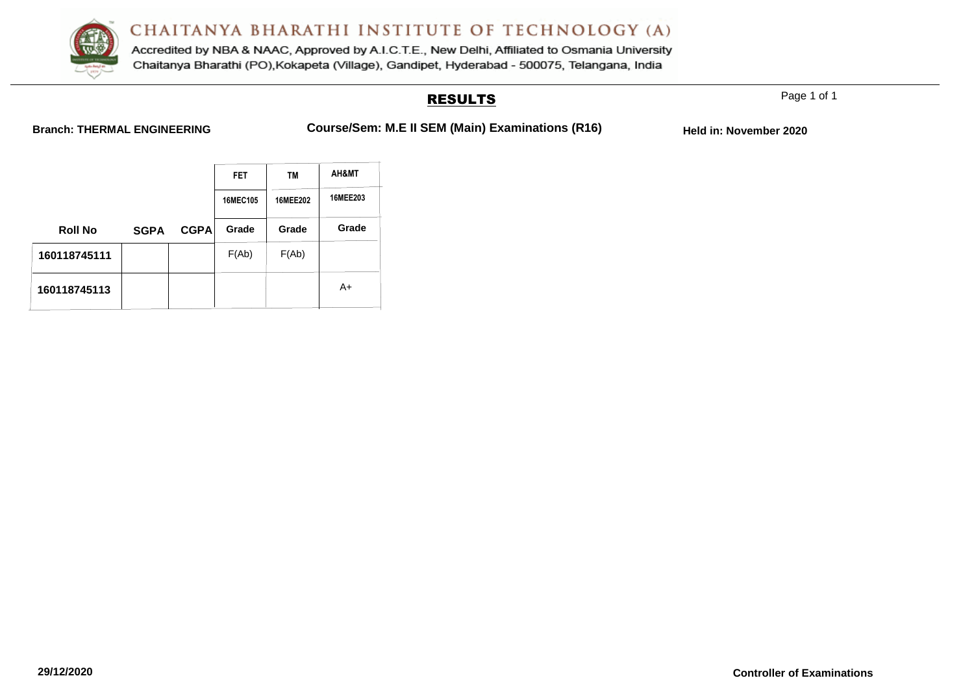

Accredited by NBA & NAAC, Approved by A.I.C.T.E., New Delhi, Affiliated to Osmania University Chaitanya Bharathi (PO), Kokapeta (Village), Gandipet, Hyderabad - 500075, Telangana, India

### RESULTS

Page 1 of 1

**Branch: THERMAL ENGINEERING Course/Sem: M.E II SEM (Main) Examinations (R16)** Held in: November 2020

|                |             |             | <b>FET</b><br><b>TM</b> |          | AH&MT    |  |
|----------------|-------------|-------------|-------------------------|----------|----------|--|
|                |             |             | 16MEC105                | 16MEE202 | 16MEE203 |  |
| <b>Roll No</b> | <b>SGPA</b> | <b>CGPA</b> | Grade                   | Grade    | Grade    |  |
| 160118745111   |             |             | F(Ab)                   | F(Ab)    |          |  |
| 160118745113   |             |             |                         |          | A+       |  |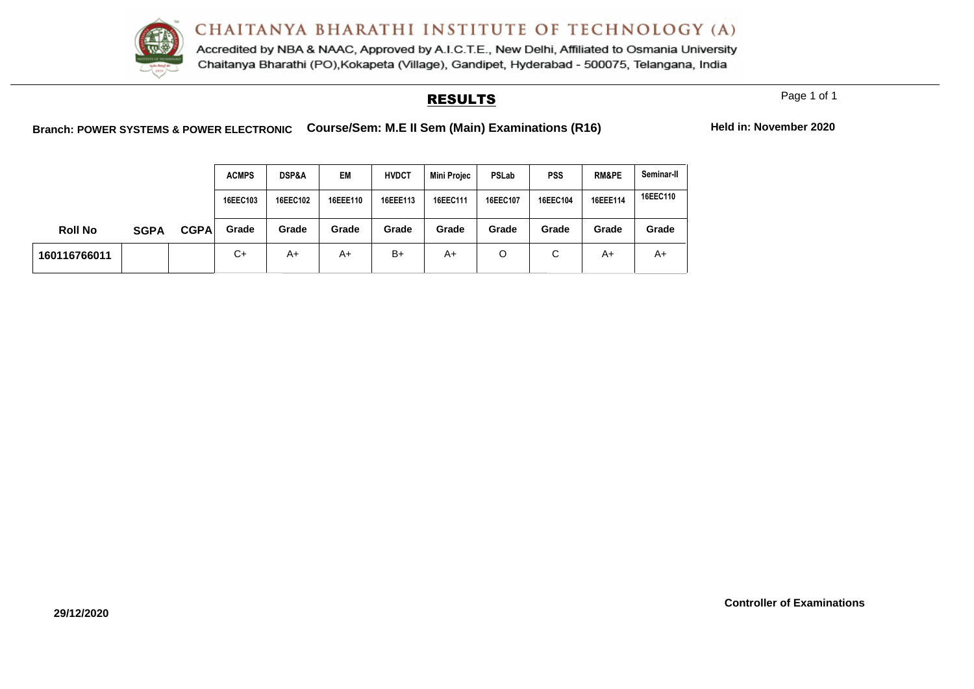

Accredited by NBA & NAAC, Approved by A.I.C.T.E., New Delhi, Affiliated to Osmania University Chaitanya Bharathi (PO), Kokapeta (Village), Gandipet, Hyderabad - 500075, Telangana, India

#### RESULTS

Page 1 of 1

**Controller of Examinations**

**Branch: POWER SYSTEMS & POWER ELECTRONIC Course/Sem: M.E II Sem (Main) Examinations (R16) Held in: November 2020**

|                |             |             | <b>ACMPS</b> | <b>DSP&amp;A</b> | EM       | <b>HVDCT</b> | <b>Mini Projec</b> | PSLab    | <b>PSS</b>  | <b>RM&amp;PE</b> | Seminar-II |
|----------------|-------------|-------------|--------------|------------------|----------|--------------|--------------------|----------|-------------|------------------|------------|
|                |             |             | 16EEC103     | 16EEC102         | 16EEE110 | 16EEE113     | 16EEC111           | 16EEC107 | 16EEC104    | 16EEE114         | 16EEC110   |
| <b>Roll No</b> | <b>SGPA</b> | <b>CGPA</b> | Grade        | Grade            | Grade    | Grade        | Grade              | Grade    | Grade       | Grade            | Grade      |
| 160116766011   |             |             | C+           | A+               | A+       | $B+$         | A+                 | O        | $\sim$<br>◡ | A+               | A+         |